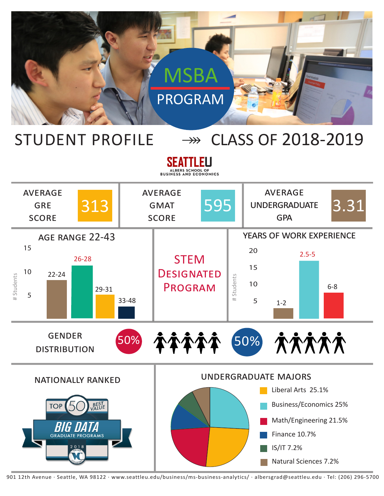

## STUDENT PROFILE  $\longrightarrow$  CLASS OF 2018-2019

SEATTLEU